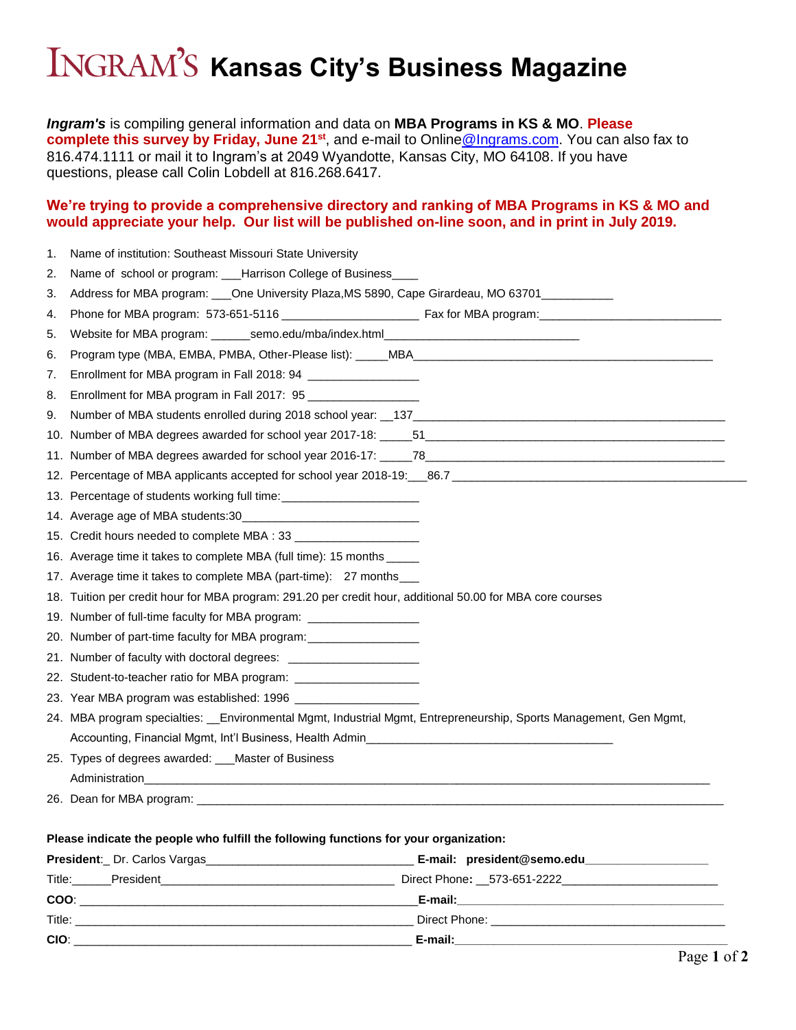## INGRAM'S Kansas City's Business Magazine

*Ingram's* is compiling general information and data on **MBA Programs in KS & MO**. **Please complete this survey by Friday, June 21st** , and e-mail to Onlin[e@Ingrams.com.](mailto:Data@Ingrams.com) You can also fax to 816.474.1111 or mail it to Ingram's at 2049 Wyandotte, Kansas City, MO 64108. If you have questions, please call Colin Lobdell at 816.268.6417.

## **We're trying to provide a comprehensive directory and ranking of MBA Programs in KS & MO and would appreciate your help. Our list will be published on-line soon, and in print in July 2019.**

| 1.                                                                                    | Name of institution: Southeast Missouri State University                                                           |  |  |  |  |  |
|---------------------------------------------------------------------------------------|--------------------------------------------------------------------------------------------------------------------|--|--|--|--|--|
| 2.                                                                                    | Name of school or program: ___Harrison College of Business____                                                     |  |  |  |  |  |
| 3.                                                                                    | Address for MBA program: ___One University Plaza, MS 5890, Cape Girardeau, MO 63701________________                |  |  |  |  |  |
| 4.                                                                                    |                                                                                                                    |  |  |  |  |  |
| 5.                                                                                    | Website for MBA program: _______semo.edu/mba/index.html_________________________                                   |  |  |  |  |  |
| 6.                                                                                    |                                                                                                                    |  |  |  |  |  |
| 7.                                                                                    | Enrollment for MBA program in Fall 2018: 94 ________________                                                       |  |  |  |  |  |
| 8.                                                                                    | Enrollment for MBA program in Fall 2017: 95                                                                        |  |  |  |  |  |
| 9.                                                                                    |                                                                                                                    |  |  |  |  |  |
|                                                                                       |                                                                                                                    |  |  |  |  |  |
|                                                                                       |                                                                                                                    |  |  |  |  |  |
|                                                                                       |                                                                                                                    |  |  |  |  |  |
|                                                                                       | 13. Percentage of students working full time: __________________________________                                   |  |  |  |  |  |
|                                                                                       |                                                                                                                    |  |  |  |  |  |
|                                                                                       |                                                                                                                    |  |  |  |  |  |
|                                                                                       | 16. Average time it takes to complete MBA (full time): 15 months _____                                             |  |  |  |  |  |
|                                                                                       | 17. Average time it takes to complete MBA (part-time): 27 months_                                                  |  |  |  |  |  |
|                                                                                       | 18. Tuition per credit hour for MBA program: 291.20 per credit hour, additional 50.00 for MBA core courses         |  |  |  |  |  |
|                                                                                       | 19. Number of full-time faculty for MBA program: ____________________                                              |  |  |  |  |  |
|                                                                                       | 20. Number of part-time faculty for MBA program: _______________________________                                   |  |  |  |  |  |
|                                                                                       |                                                                                                                    |  |  |  |  |  |
|                                                                                       | 22. Student-to-teacher ratio for MBA program: ______________________                                               |  |  |  |  |  |
|                                                                                       |                                                                                                                    |  |  |  |  |  |
|                                                                                       | 24. MBA program specialties: __Environmental Mgmt, Industrial Mgmt, Entrepreneurship, Sports Management, Gen Mgmt, |  |  |  |  |  |
|                                                                                       |                                                                                                                    |  |  |  |  |  |
|                                                                                       | 25. Types of degrees awarded: __Master of Business                                                                 |  |  |  |  |  |
|                                                                                       |                                                                                                                    |  |  |  |  |  |
|                                                                                       |                                                                                                                    |  |  |  |  |  |
|                                                                                       |                                                                                                                    |  |  |  |  |  |
| Please indicate the people who fulfill the following functions for your organization: |                                                                                                                    |  |  |  |  |  |
|                                                                                       |                                                                                                                    |  |  |  |  |  |
|                                                                                       |                                                                                                                    |  |  |  |  |  |

|            | <b>Tresident:</b> Dr. Odnos vargas_ | L main president@schiolega_                                                                                                                                                                                                   |
|------------|-------------------------------------|-------------------------------------------------------------------------------------------------------------------------------------------------------------------------------------------------------------------------------|
| Title:     | President                           | Direct Phone: __573-651-2222_                                                                                                                                                                                                 |
| COO:       |                                     | E-mail:                                                                                                                                                                                                                       |
| Title:     |                                     | Direct Phone: the contract of the contract of the contract of the contract of the contract of the contract of the contract of the contract of the contract of the contract of the contract of the contract of the contract of |
| <b>CIO</b> |                                     | E-mail:                                                                                                                                                                                                                       |
|            |                                     |                                                                                                                                                                                                                               |